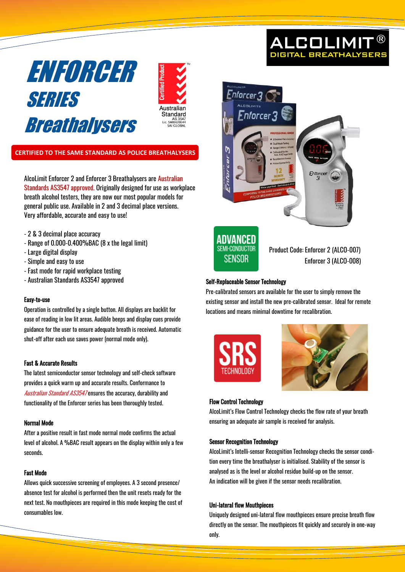



# **CERTIFIED TO THE SAME STANDARD AS POLICE BREATHALYSERS**

AlcoLimit Enforcer 2 and Enforcer 3 Breathalysers are Australian Standards AS3547 approved. Originally designed for use as workplace breath alcohol testers, they are now our most popular models for general public use. Available in 2 and 3 decimal place versions. Very affordable, accurate and easy to use!

- 2 & 3 decimal place accuracy
- Range of 0.000-0.400%BAC (8 x the legal limit)
- Large digital display
- Simple and easy to use
- Fast mode for rapid workplace testing
- Australian Standards AS3547 approved

### Easy-to-use

Operation is controlled by a single button. All displays are backlit for ease of reading in low lit areas. Audible beeps and display cues provide guidance for the user to ensure adequate breath is received. Automatic shut-off after each use saves power (normal mode only).

#### Fast & Accurate Results

The latest semiconductor sensor technology and self-check software provides a quick warm up and accurate results. Conformance to Australian Standard AS3547 ensures the accuracy, durability and functionality of the Enforcer series has been thoroughly tested.

#### Normal Mode

After a positive result in fast mode normal mode confirms the actual level of alcohol. A %BAC result appears on the display within only a few seconds.

#### Fast Mode

Allows quick successive screening of employees. A 3 second presence/ absence test for alcohol is performed then the unit resets ready for the next test. No mouthpieces are required in this mode keeping the cost of consumables low.





Product Code: Enforcer 2 (ALCO-007) Enforcer 3 (ALCO-008)

**ALCOLIMIT DIGITAL BREATHALYSER** 

## Self-Replaceable Sensor Technology

Pre-calibrated sensors are available for the user to simply remove the existing sensor and install the new pre-calibrated sensor. Ideal for remote locations and means minimal downtime for recalibration.





#### Flow Control Technology

AlcoLimit's Flow Control Technology checks the flow rate of your breath ensuring an adequate air sample is received for analysis.

#### Sensor Recognition Technology

AlcoLimit's Intelli-sensor Recognition Technology checks the sensor condition every time the breathalyser is initialised. Stability of the sensor is analysed as is the level or alcohol residue build-up on the sensor. An indication will be given if the sensor needs recalibration.

#### Uni-lateral flow Mouthpieces

Uniquely designed uni-lateral flow mouthpieces ensure precise breath flow directly on the sensor. The mouthpieces fit quickly and securely in one-way only.